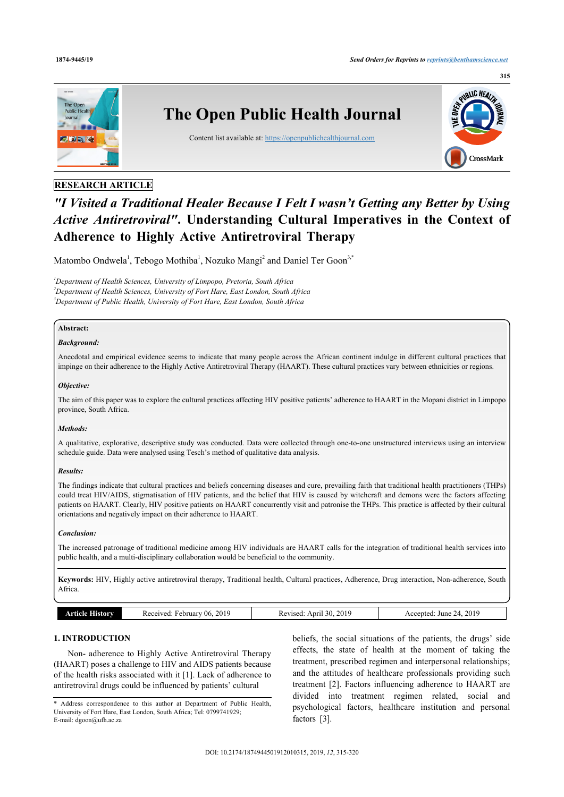

# **RESEARCH ARTICLE**

# *"I Visited a Traditional Healer Because I Felt I wasn't Getting any Better by Using Active Antiretroviral"***. Understanding Cultural Imperatives in the Context of Adherence to Highly Active Antiretroviral Therapy**

Matombo Ondwela<sup>[1](#page-0-0)</sup>, Tebogo Mothiba<sup>1</sup>, Nozuko Mangi<sup>[2](#page-0-1)</sup> and Daniel Ter Goon<sup>[3,](#page-0-2)[\\*](#page-0-3)</sup>

<span id="page-0-2"></span><span id="page-0-1"></span><span id="page-0-0"></span>*<sup>1</sup>Department of Health Sciences, University of Limpopo, Pretoria, South Africa <sup>2</sup>Department of Health Sciences, University of Fort Hare, East London, South Africa <sup>3</sup>Department of Public Health, University of Fort Hare, East London, South Africa*

# **Abstract:**

#### *Background:*

Anecdotal and empirical evidence seems to indicate that many people across the African continent indulge in different cultural practices that impinge on their adherence to the Highly Active Antiretroviral Therapy (HAART). These cultural practices vary between ethnicities or regions.

#### *Objective:*

The aim of this paper was to explore the cultural practices affecting HIV positive patients' adherence to HAART in the Mopani district in Limpopo province, South Africa.

### *Methods:*

A qualitative, explorative, descriptive study was conducted. Data were collected through one-to-one unstructured interviews using an interview schedule guide. Data were analysed using Tesch's method of qualitative data analysis.

#### *Results:*

The findings indicate that cultural practices and beliefs concerning diseases and cure, prevailing faith that traditional health practitioners (THPs) could treat HIV/AIDS, stigmatisation of HIV patients, and the belief that HIV is caused by witchcraft and demons were the factors affecting patients on HAART. Clearly, HIV positive patients on HAART concurrently visit and patronise the THPs. This practice is affected by their cultural orientations and negatively impact on their adherence to HAART.

#### *Conclusion:*

The increased patronage of traditional medicine among HIV individuals are HAART calls for the integration of traditional health services into public health, and a multi-disciplinary collaboration would be beneficial to the community.

**Keywords:** HIV, Highly active antiretroviral therapy, Traditional health, Cultural practices, Adherence, Drug interaction, Non-adherence, South **Africa** 

|  | <b>File A</b><br>listorv | 2019<br>February 06.<br>Received: | 2019<br>30<br>Anril<br>Revised | 2019<br>ccented:<br>June<br>$2\pi$<br>A C<br>$  -$ |
|--|--------------------------|-----------------------------------|--------------------------------|----------------------------------------------------|
|--|--------------------------|-----------------------------------|--------------------------------|----------------------------------------------------|

# **1. INTRODUCTION**

Non- adherence to Highly Active Antiretroviral Therapy (HAART) poses a challenge to HIV and AIDS patients because of the health risks associated with it [[1](#page-4-0)]. Lack of adherence to antiretroviral drugs could be influenced by patients' cultural

<span id="page-0-3"></span>\* Address correspondence to this author at Department of Public Health, University of Fort Hare, East London, South Africa; Tel: 0799741929; E-mail: [dgoon@ufh.ac.za](mailto:dgoon@ufh.ac.za)

beliefs, the social situations of the patients, the drugs' side effects, the state of health at the moment of taking the treatment, prescribed regimen and interpersonal relationships; and the attitudes of healthcare professionals providing such treatment[[2](#page-4-1)]. Factors influencing adherence to HAART are divided into treatment regimen related, social and psychological factors, healthcare institution and personal factors[[3](#page-4-2)].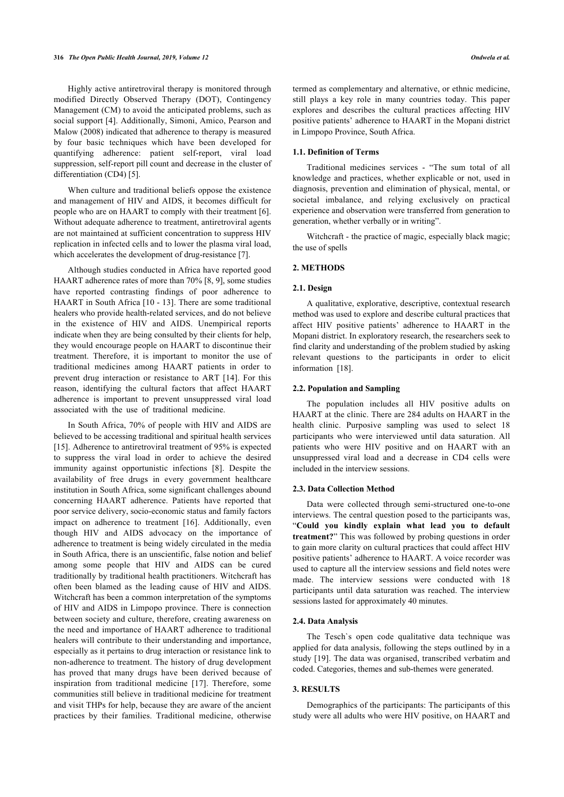Highly active antiretroviral therapy is monitored through modified Directly Observed Therapy (DOT), Contingency Management (CM) to avoid the anticipated problems, such as social support [[4](#page-4-3)]. Additionally, Simoni, Amico, Pearson and Malow (2008) indicated that adherence to therapy is measured by four basic techniques which have been developed for quantifying adherence: patient self-report, viral load suppression, self-report pill count and decrease in the cluster of differentiation (CD4) [[5](#page-4-4)].

When culture and traditional beliefs oppose the existence and management of HIV and AIDS, it becomes difficult for people who are on HAART to comply with their treatment [\[6](#page-4-5)]. Without adequate adherence to treatment, antiretroviral agents are not maintained at sufficient concentration to suppress HIV replication in infected cells and to lower the plasma viral load, which accelerates the development of drug-resistance [[7](#page-4-6)].

Although studies conducted in Africa have reported good HAART adherence rates of more than 70% [[8](#page-4-7), [9](#page-4-8)], some studies have reported contrasting findings of poor adherence to HAART in South Africa [[10](#page-4-9) - [13](#page-4-10)]. There are some traditional healers who provide health-related services, and do not believe in the existence of HIV and AIDS. Unempirical reports indicate when they are being consulted by their clients for help, they would encourage people on HAART to discontinue their treatment. Therefore, it is important to monitor the use of traditional medicines among HAART patients in order to prevent drug interaction or resistance to ART [\[14\]](#page-4-11). For this reason, identifying the cultural factors that affect HAART adherence is important to prevent unsuppressed viral load associated with the use of traditional medicine.

In South Africa, 70% of people with HIV and AIDS are believed to be accessing traditional and spiritual health services [[15\]](#page-4-12). Adherence to antiretroviral treatment of 95% is expected to suppress the viral load in order to achieve the desired immunity against opportunistic infections[[8\]](#page-4-7). Despite the availability of free drugs in every government healthcare institution in South Africa, some significant challenges abound concerning HAART adherence. Patients have reported that poor service delivery, socio-economic status and family factors impact on adherence to treatment [\[16](#page-4-13)]. Additionally, even though HIV and AIDS advocacy on the importance of adherence to treatment is being widely circulated in the media in South Africa, there is an unscientific, false notion and belief among some people that HIV and AIDS can be cured traditionally by traditional health practitioners. Witchcraft has often been blamed as the leading cause of HIV and AIDS. Witchcraft has been a common interpretation of the symptoms of HIV and AIDS in Limpopo province. There is connection between society and culture, therefore, creating awareness on the need and importance of HAART adherence to traditional healers will contribute to their understanding and importance, especially as it pertains to drug interaction or resistance link to non-adherence to treatment. The history of drug development has proved that many drugs have been derived because of inspiration from traditional medicine [\[17\]](#page-5-0). Therefore, some communities still believe in traditional medicine for treatment and visit THPs for help, because they are aware of the ancient practices by their families. Traditional medicine, otherwise

termed as complementary and alternative, or ethnic medicine, still plays a key role in many countries today. This paper explores and describes the cultural practices affecting HIV positive patients' adherence to HAART in the Mopani district in Limpopo Province, South Africa.

#### **1.1. Definition of Terms**

Traditional medicines services - "The sum total of all knowledge and practices, whether explicable or not, used in diagnosis, prevention and elimination of physical, mental, or societal imbalance, and relying exclusively on practical experience and observation were transferred from generation to generation, whether verbally or in writing".

Witchcraft - the practice of magic, especially black magic; the use of spells

#### **2. METHODS**

#### **2.1. Design**

A qualitative, explorative, descriptive, contextual research method was used to explore and describe cultural practices that affect HIV positive patients' adherence to HAART in the Mopani district. In exploratory research, the researchers seek to find clarity and understanding of the problem studied by asking relevant questions to the participants in order to elicit information[[18\]](#page-5-1).

#### **2.2. Population and Sampling**

The population includes all HIV positive adults on HAART at the clinic. There are 284 adults on HAART in the health clinic. Purposive sampling was used to select 18 participants who were interviewed until data saturation. All patients who were HIV positive and on HAART with an unsuppressed viral load and a decrease in CD4 cells were included in the interview sessions.

#### **2.3. Data Collection Method**

Data were collected through semi-structured one-to-one interviews. The central question posed to the participants was, "**Could you kindly explain what lead you to default treatment?**" This was followed by probing questions in order to gain more clarity on cultural practices that could affect HIV positive patients' adherence to HAART. A voice recorder was used to capture all the interview sessions and field notes were made. The interview sessions were conducted with 18 participants until data saturation was reached. The interview sessions lasted for approximately 40 minutes.

#### **2.4. Data Analysis**

The Tesch`s open code qualitative data technique was applied for data analysis, following the steps outlined by in a study [[19](#page-5-2)]. The data was organised, transcribed verbatim and coded. Categories, themes and sub-themes were generated.

# **3. RESULTS**

Demographics of the participants: The participants of this study were all adults who were HIV positive, on HAART and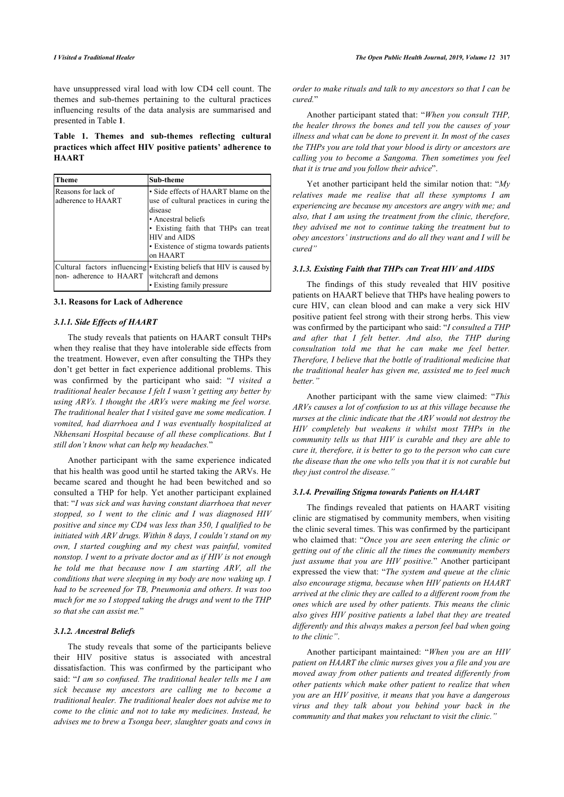have unsuppressed viral load with low CD4 cell count. The themes and sub-themes pertaining to the cultural practices influencing results of the data analysis are summarised and presented in Table **[1](#page-2-0)**.

### <span id="page-2-0"></span>**Table 1. Themes and sub-themes reflecting cultural practices which affect HIV positive patients' adherence to HAART**

| Theme                                     | Sub-theme                                                                                                                                                                                                                       |
|-------------------------------------------|---------------------------------------------------------------------------------------------------------------------------------------------------------------------------------------------------------------------------------|
| Reasons for lack of<br>adherence to HAART | • Side effects of HAART blame on the<br>use of cultural practices in curing the<br>disease<br>• Ancestral beliefs<br>• Existing faith that THPs can treat<br>HIV and AIDS<br>• Existence of stigma towards patients<br>on HAART |
| non-adherence to HAART                    | Cultural factors influencing • Existing beliefs that HIV is caused by<br>witchcraft and demons<br>• Existing family pressure                                                                                                    |

| 3.1. Reasons for Lack of Adherence |  |  |  |
|------------------------------------|--|--|--|
|                                    |  |  |  |

#### *3.1.1. Side Effects of HAART*

The study reveals that patients on HAART consult THPs when they realise that they have intolerable side effects from the treatment. However, even after consulting the THPs they don't get better in fact experience additional problems. This was confirmed by the participant who said: "*I visited a traditional healer because I felt I wasn't getting any better by using ARVs. I thought the ARVs were making me feel worse. The traditional healer that I visited gave me some medication. I vomited, had diarrhoea and I was eventually hospitalized at Nkhensani Hospital because of all these complications. But I still don't know what can help my headaches.*"

Another participant with the same experience indicated that his health was good until he started taking the ARVs. He became scared and thought he had been bewitched and so consulted a THP for help. Yet another participant explained that: "*I was sick and was having constant diarrhoea that never stopped, so I went to the clinic and I was diagnosed HIV positive and since my CD4 was less than 350, I qualified to be initiated with ARV drugs. Within 8 days, I couldn't stand on my own, I started coughing and my chest was painful, vomited nonstop. I went to a private doctor and as if HIV is not enough he told me that because now I am starting ARV, all the conditions that were sleeping in my body are now waking up. I had to be screened for TB, Pneumonia and others. It was too much for me so I stopped taking the drugs and went to the THP so that she can assist me.*"

#### *3.1.2. Ancestral Beliefs*

The study reveals that some of the participants believe their HIV positive status is associated with ancestral dissatisfaction. This was confirmed by the participant who said: "*I am so confused. The traditional healer tells me I am sick because my ancestors are calling me to become a traditional healer. The traditional healer does not advise me to come to the clinic and not to take my medicines. Instead, he advises me to brew a Tsonga beer, slaughter goats and cows in*

*order to make rituals and talk to my ancestors so that I can be cured.*"

Another participant stated that: "*When you consult THP, the healer throws the bones and tell you the causes of your illness and what can be done to prevent it. In most of the cases the THPs you are told that your blood is dirty or ancestors are calling you to become a Sangoma. Then sometimes you feel that it is true and you follow their advice*".

Yet another participant held the similar notion that: "*My relatives made me realise that all these symptoms I am experiencing are because my ancestors are angry with me; and also, that I am using the treatment from the clinic, therefore, they advised me not to continue taking the treatment but to obey ancestors' instructions and do all they want and I will be cured"*

#### *3.1.3. Existing Faith that THPs can Treat HIV and AIDS*

The findings of this study revealed that HIV positive patients on HAART believe that THPs have healing powers to cure HIV, can clean blood and can make a very sick HIV positive patient feel strong with their strong herbs. This view was confirmed by the participant who said: "*I consulted a THP and after that I felt better. And also, the THP during consultation told me that he can make me feel better. Therefore, I believe that the bottle of traditional medicine that the traditional healer has given me, assisted me to feel much better."*

Another participant with the same view claimed: "*This ARVs causes a lot of confusion to us at this village because the nurses at the clinic indicate that the ARV would not destroy the HIV completely but weakens it whilst most THPs in the community tells us that HIV is curable and they are able to cure it, therefore, it is better to go to the person who can cure the disease than the one who tells you that it is not curable but they just control the disease."*

#### *3.1.4. Prevailing Stigma towards Patients on HAART*

The findings revealed that patients on HAART visiting clinic are stigmatised by community members, when visiting the clinic several times. This was confirmed by the participant who claimed that: "*Once you are seen entering the clinic or getting out of the clinic all the times the community members just assume that you are HIV positive.*" Another participant expressed the view that: "*The system and queue at the clinic also encourage stigma, because when HIV patients on HAART arrived at the clinic they are called to a different room from the ones which are used by other patients. This means the clinic also gives HIV positive patients a label that they are treated differently and this always makes a person feel bad when going to the clinic"*.

Another participant maintained: "*When you are an HIV patient on HAART the clinic nurses gives you a file and you are moved away from other patients and treated differently from other patients which make other patient to realize that when you are an HIV positive, it means that you have a dangerous virus and they talk about you behind your back in the community and that makes you reluctant to visit the clinic."*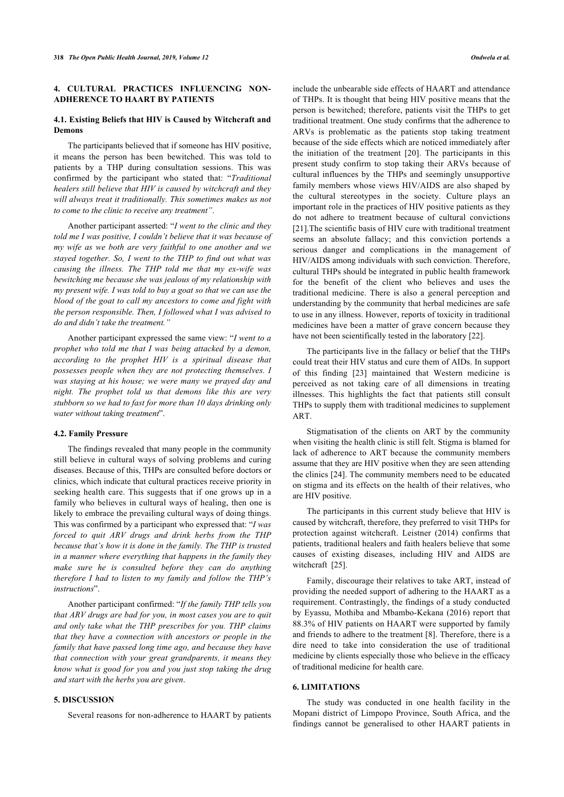# **4. CULTURAL PRACTICES INFLUENCING NON-ADHERENCE TO HAART BY PATIENTS**

### **4.1. Existing Beliefs that HIV is Caused by Witchcraft and Demons**

The participants believed that if someone has HIV positive, it means the person has been bewitched. This was told to patients by a THP during consultation sessions. This was confirmed by the participant who stated that: "*Traditional healers still believe that HIV is caused by witchcraft and they will always treat it traditionally. This sometimes makes us not to come to the clinic to receive any treatment"*.

Another participant asserted: "*I went to the clinic and they told me I was positive, I couldn't believe that it was because of my wife as we both are very faithful to one another and we stayed together. So, I went to the THP to find out what was causing the illness. The THP told me that my ex-wife was bewitching me because she was jealous of my relationship with my present wife. I was told to buy a goat so that we can use the blood of the goat to call my ancestors to come and fight with the person responsible. Then, I followed what I was advised to do and didn't take the treatment."*

Another participant expressed the same view: "*I went to a prophet who told me that I was being attacked by a demon, according to the prophet HIV is a spiritual disease that possesses people when they are not protecting themselves. I was staying at his house; we were many we prayed day and night. The prophet told us that demons like this are very stubborn so we had to fast for more than 10 days drinking only water without taking treatment*".

#### **4.2. Family Pressure**

The findings revealed that many people in the community still believe in cultural ways of solving problems and curing diseases. Because of this, THPs are consulted before doctors or clinics, which indicate that cultural practices receive priority in seeking health care. This suggests that if one grows up in a family who believes in cultural ways of healing, then one is likely to embrace the prevailing cultural ways of doing things. This was confirmed by a participant who expressed that: "*I was forced to quit ARV drugs and drink herbs from the THP because that's how it is done in the family. The THP is trusted in a manner where everything that happens in the family they make sure he is consulted before they can do anything therefore I had to listen to my family and follow the THP's instructions*".

Another participant confirmed: "*If the family THP tells you that ARV drugs are bad for you, in most cases you are to quit and only take what the THP prescribes for you. THP claims that they have a connection with ancestors or people in the family that have passed long time ago, and because they have that connection with your great grandparents, it means they know what is good for you and you just stop taking the drug and start with the herbs you are given*.

# **5. DISCUSSION**

Several reasons for non-adherence to HAART by patients

include the unbearable side effects of HAART and attendance of THPs. It is thought that being HIV positive means that the person is bewitched; therefore, patients visit the THPs to get traditional treatment. One study confirms that the adherence to ARVs is problematic as the patients stop taking treatment because of the side effects which are noticed immediately after the initiation of the treatment [\[20\]](#page-5-3). The participants in this present study confirm to stop taking their ARVs because of cultural influences by the THPs and seemingly unsupportive family members whose views HIV/AIDS are also shaped by the cultural stereotypes in the society. Culture plays an important role in the practices of HIV positive patients as they do not adhere to treatment because of cultural convictions [[21](#page-5-4)].The scientific basis of HIV cure with traditional treatment seems an absolute fallacy; and this conviction portends a serious danger and complications in the management of HIV/AIDS among individuals with such conviction. Therefore, cultural THPs should be integrated in public health framework for the benefit of the client who believes and uses the traditional medicine. There is also a general perception and understanding by the community that herbal medicines are safe to use in any illness. However, reports of toxicity in traditional medicines have been a matter of grave concern because they have not been scientifically tested in the laboratory [[22\]](#page-5-5).

The participants live in the fallacy or belief that the THPs could treat their HIV status and cure them of AIDs. In support of this finding [\[23](#page-5-6)] maintained that Western medicine is perceived as not taking care of all dimensions in treating illnesses. This highlights the fact that patients still consult THPs to supply them with traditional medicines to supplement ART.

Stigmatisation of the clients on ART by the community when visiting the health clinic is still felt. Stigma is blamed for lack of adherence to ART because the community members assume that they are HIV positive when they are seen attending the clinics [\[24](#page-5-7)]. The community members need to be educated on stigma and its effects on the health of their relatives, who are HIV positive.

The participants in this current study believe that HIV is caused by witchcraft, therefore, they preferred to visit THPs for protection against witchcraft. Leistner (2014) confirms that patients, traditional healers and faith healers believe that some causes of existing diseases, including HIV and AIDS are witchcraft[[25\]](#page-5-8).

Family, discourage their relatives to take ART, instead of providing the needed support of adhering to the HAART as a requirement. Contrastingly, the findings of a study conducted by Eyassu, Mothiba and Mbambo-Kekana (2016) report that 88.3% of HIV patients on HAART were supported by family and friends to adhere to the treatment [\[8\]](#page-4-7). Therefore, there is a dire need to take into consideration the use of traditional medicine by clients especially those who believe in the efficacy of traditional medicine for health care.

#### **6. LIMITATIONS**

The study was conducted in one health facility in the Mopani district of Limpopo Province, South Africa, and the findings cannot be generalised to other HAART patients in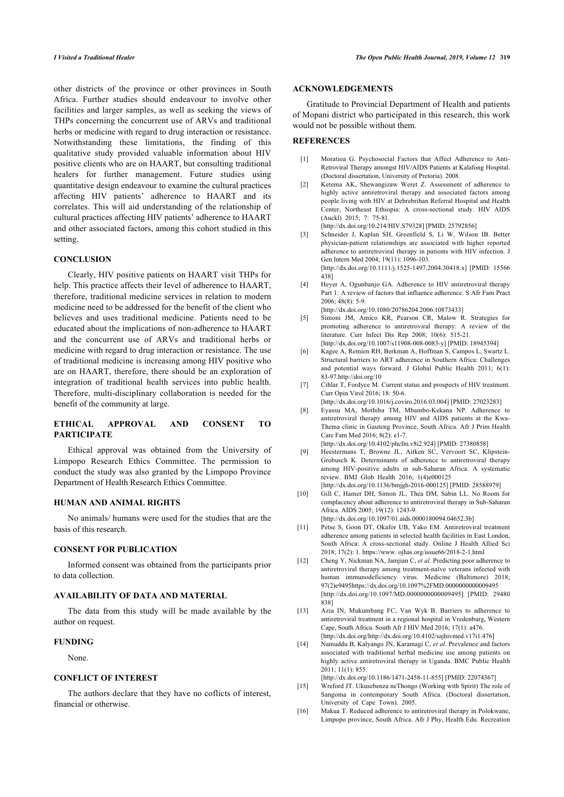<span id="page-4-0"></span>other districts of the province or other provinces in South Africa. Further studies should endeavour to involve other facilities and larger samples, as well as seeking the views of THPs concerning the concurrent use of ARVs and traditional herbs or medicine with regard to drug interaction or resistance. Notwithstanding these limitations, the finding of this qualitative study provided valuable information about HIV positive clients who are on HAART, but consulting traditional healers for further management. Future studies using quantitative design endeavour to examine the cultural practices affecting HIV patients' adherence to HAART and its correlates. This will aid understanding of the relationship of cultural practices affecting HIV patients' adherence to HAART and other associated factors, among this cohort studied in this setting.

#### <span id="page-4-2"></span><span id="page-4-1"></span>**CONCLUSION**

<span id="page-4-4"></span><span id="page-4-3"></span>Clearly, HIV positive patients on HAART visit THPs for help. This practice affects their level of adherence to HAART, therefore, traditional medicine services in relation to modern medicine need to be addressed for the benefit of the client who believes and uses traditional medicine. Patients need to be educated about the implications of non-adherence to HAART and the concurrent use of ARVs and traditional herbs or medicine with regard to drug interaction or resistance. The use of traditional medicine is increasing among HIV positive who are on HAART, therefore, there should be an exploration of integration of traditional health services into public health. Therefore, multi-disciplinary collaboration is needed for the benefit of the community at large.

### <span id="page-4-7"></span><span id="page-4-6"></span><span id="page-4-5"></span>**ETHICAL APPROVAL AND CONSENT TO PARTICIPATE**

<span id="page-4-8"></span>Ethical approval was obtained from the University of Limpopo Research Ethics Committee. The permission to conduct the study was also granted by the Limpopo Province Department of Health Research Ethics Committee.

# <span id="page-4-9"></span>**HUMAN AND ANIMAL RIGHTS**

No animals/ humans were used for the studies that are the basis of this research.

#### **CONSENT FOR PUBLICATION**

Informed consent was obtained from the participants prior to data collection.

# **AVAILABILITY OF DATA AND MATERIAL**

<span id="page-4-10"></span>The data from this study will be made available by the author on request.

#### <span id="page-4-11"></span>**FUNDING**

#### None.

# <span id="page-4-12"></span>**CONFLICT OF INTEREST**

<span id="page-4-13"></span>The authors declare that they have no coflicts of interest, financial or otherwise.

#### **ACKNOWLEDGEMENTS**

Gratitude to Provincial Department of Health and patients of Mopani district who participated in this research, this work would not be possible without them.

# **REFERENCES**

- [1] Moratioa G. Psychosocial Factors that Affect Adherence to Anti-Retroviral Therapy amongst HIV/AIDS Patients at Kalafong Hospital. (Doctoral dissertation, University of Pretoria). 2008.
- [2] Ketema AK, Shewangizaw Weret Z. Assessment of adherence to highly active antiretroviral therapy and associated factors among people living with HIV at Debrebrihan Referral Hospital and Health Center, Northeast Ethiopia: A cross-sectional study. HIV AIDS (Auckl) 2015; 7: 75-81.

[\[http://dx.doi.org/10.214/HIV.S79328\]](http://dx.doi.org/10.214/HIV.S79328) [PMID: [25792856](http://www.ncbi.nlm.nih.gov/pubmed/25792856)]

- [3] Schneider J, Kaplan SH, Greenfield S, Li W, Wilson IB. Better physician-patient relationships are associated with higher reported adherence to antiretroviral therapy in patients with HIV infection. J Gen Intern Med 2004; 19(11): 1096-103. [\[http://dx.doi.org/10.1111/j.1525-1497.2004.30418.x\]](http://dx.doi.org/10.1111/j.1525-1497.2004.30418.x) [PMID: [15566](http://www.ncbi.nlm.nih.gov/pubmed/15566%20438) [438](http://www.ncbi.nlm.nih.gov/pubmed/15566%20438)]
- [4] Heyer A, Ogunbanjo GA. Adherence to HIV antiretroviral therapy Part 1: A review of factors that influence adherence. S Afr Fam Pract 2006; 48(8): 5-9.

[\[http://dx.doi.org/10.1080/20786204.2006.10873433\]](http://dx.doi.org/10.1080/20786204.2006.10873433)

- [5] Simoni JM, Amico KR, Pearson CR, Malow R. Strategies for promoting adherence to antiretroviral therapy: A review of the literature. Curr Infect Dis Rep 2008; 10(6): 515-21. [\[http://dx.doi.org/10.1007/s11908-008-0083-y\]](http://dx.doi.org/10.1007/s11908-008-0083-y) [PMID: [18945394](http://www.ncbi.nlm.nih.gov/pubmed/18945394)]
- [6] Kagee A, Remien RH, Berkman A, Hoffman S, Campos L, Swartz L. Structural barriers to ART adherence in Southern Africa: Challenges and potential ways forward. J Global Public Health 2011; 6(1): 83-97[.http://doi.org/10](http://doi.org/10)
- [7] Cihlar T, Fordyce M. Current status and prospects of HIV treatment. Curr Opin Virol 2016; 18: 50-6. [\[http://dx.doi.org/10.1016/j.coviro.2016.03.004\]](http://dx.doi.org/10.1016/j.coviro.2016.03.004) [PMID: [27023283](http://www.ncbi.nlm.nih.gov/pubmed/27023283)]
- [8] Eyassu MA, Mothiba TM, Mbambo-Kekana NP. Adherence to antiretroviral therapy among HIV and AIDS patients at the Kwa-Thema clinic in Gauteng Province, South Africa. Afr J Prim Health Care Fam Med 2016; 8(2): e1-7.

[\[http://dx.doi.org/10.4102/phcfm.v8i2.924\]](http://dx.doi.org/10.4102/phcfm.v8i2.924) [PMID: [27380858](http://www.ncbi.nlm.nih.gov/pubmed/27380858)]

- [9] Heestermans T, Browne JL, Aitken SC, Vervoort SC, Klipstein-Grobusch K. Determinants of adherence to antiretroviral therapy among HIV-positive adults in sub-Saharan Africa: A systematic review. BMJ Glob Health 2016; 1(4)e000125
	- [\[http://dx.doi.org/10.1136/bmjgh-2016-000125](http://dx.doi.org/10.1136/bmjgh-2016-000125)] [PMID: [28588979\]](http://www.ncbi.nlm.nih.gov/pubmed/28588979)
- [10] Gill C, Hamer DH, Simon JL, Thea DM, Sabin LL. No Room for complacency about adherence to antiretroviral therapy in Sub-Saharan Africa. AIDS 2005; 19(12): 1243-9. [\[http://dx.doi.org/10.1097/01.aids.0000180094.04652.3b](http://dx.doi.org/10.1097/01.aids.0000180094.04652.3b)]
- [11] Petse S, Goon DT, Okafor UB, Yako EM. Antiretroviral treatment adherence among patients in selected health facilities in East London, South Africa: A cross-sectional study. Online J Health Allied Sci 2018; 17(2): 1. [https://www. ojhas.org/issue66/2018-2-1.html](https://www.ojhas.org/issue66/2018-2-1.html)
- [12] Cheng Y, Nickman NA, Jamjian C, et al. Predicting poor adherence to antiretroviral therapy among treatment-naïve veterans infected with human immunodeficiency virus. Medicine (Baltimore) 2018; 97(2)e949[5https://dx.doi.org/10.1097%2FMD.0000000000009495](https://dx.doi.org/10.1097%2FMD.0000000000009495) [\[http://dx.doi.org/10.1097/MD.0000000000009495](http://dx.doi.org/10.1097/MD.0000000000009495)] [PMID: [29480](http://www.ncbi.nlm.nih.gov/pubmed/29480%20838) [838](http://www.ncbi.nlm.nih.gov/pubmed/29480%20838)]
- [13] Azia IN, Mukumbang FC, Van Wyk B. Barriers to adherence to antiretroviral treatment in a regional hospital in Vredenburg, Western Cape, South Africa. South Afr J HIV Med 2016; 17(1): a476. [\[http://dx.doi.org/http://dx.doi.org/10.4102/sajhivmed.v17i1.476\]](http://dx.doi.org/http://dx.doi.org/10.4102/sajhivmed.v17i1.476)
- [14] Namuddu B, Kalyango JN, Karamagi C, *et al.* Prevalence and factors associated with traditional herbal medicine use among patients on highly active antiretroviral therapy in Uganda. BMC Public Health 2011; 11(1): 855.

[\[http://dx.doi.org/10.1186/1471-2458-11-855\]](http://dx.doi.org/10.1186/1471-2458-11-855) [PMID: [22074367\]](http://www.ncbi.nlm.nih.gov/pubmed/22074367)

- [15] Wreford JT. Ukusebenza neThongo (Working with Spirit) The role of Sangoma in contemporary South Africa. (Doctoral dissertation, University of Cape Town). 2005.
- [16] Makua T. Reduced adherence to antiretroviral therapy in Polokwane, Limpopo province, South Africa. Afr J Phy, Health Edu. Recreation